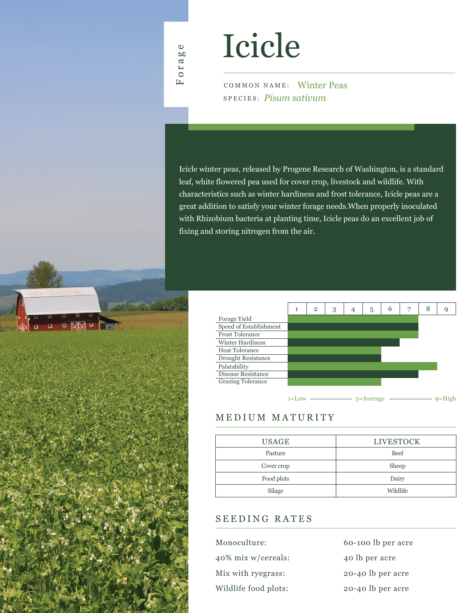# Icicle

COMMON NAME: Winter Peas SPECIES: *Pisum sativum*

Icicle winter peas, released by Progene Research of Washington, is a standard leaf, white flowered pea used for cover crop, livestock and wildlife. With characteristics such as winter hardiness and frost tolerance, Icicle peas are a great addition to satisfy your winter forage needs.When properly inoculated with Rhizobium bacteria at planting time, Icicle peas do an excellent job of fixing and storing nitrogen from the air.



## MEDIUM MATURITY

| <b>USAGE</b> | <b>LIVESTOCK</b> |
|--------------|------------------|
| Pasture      | Beef             |
| Cover crop   | Sheep            |
| Food plots   | Dairy            |
| Silage       | Wildlife         |

### SEEDING RATES

| Monoculture:         | 60-100 lb per acre |
|----------------------|--------------------|
| 40% mix w/cereals:   | 40 lb per acre     |
| Mix with ryegrass:   | 20-40 lb per acre  |
| Wildlife food plots: | 20-40 lb per acre  |